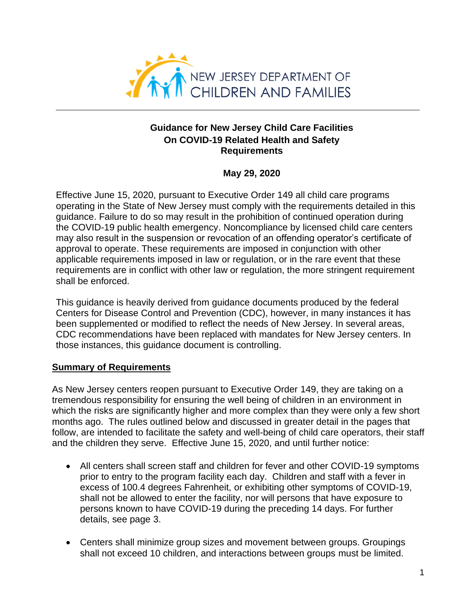

# **Guidance for New Jersey Child Care Facilities On COVID-19 Related Health and Safety Requirements**

# **May 29, 2020**

Effective June 15, 2020, pursuant to Executive Order 149 all child care programs operating in the State of New Jersey must comply with the requirements detailed in this guidance. Failure to do so may result in the prohibition of continued operation during the COVID-19 public health emergency. Noncompliance by licensed child care centers may also result in the suspension or revocation of an offending operator's certificate of approval to operate. These requirements are imposed in conjunction with other applicable requirements imposed in law or regulation, or in the rare event that these requirements are in conflict with other law or regulation, the more stringent requirement shall be enforced.

This guidance is heavily derived from guidance documents produced by the federal Centers for Disease Control and Prevention (CDC), however, in many instances it has been supplemented or modified to reflect the needs of New Jersey. In several areas, CDC recommendations have been replaced with mandates for New Jersey centers. In those instances, this guidance document is controlling.

# **Summary of Requirements**

As New Jersey centers reopen pursuant to Executive Order 149, they are taking on a tremendous responsibility for ensuring the well being of children in an environment in which the risks are significantly higher and more complex than they were only a few short months ago. The rules outlined below and discussed in greater detail in the pages that follow, are intended to facilitate the safety and well-being of child care operators, their staff and the children they serve. Effective June 15, 2020, and until further notice:

- All centers shall screen staff and children for fever and other COVID-19 symptoms prior to entry to the program facility each day. Children and staff with a fever in excess of 100.4 degrees Fahrenheit, or exhibiting other symptoms of COVID-19, shall not be allowed to enter the facility, nor will persons that have exposure to persons known to have COVID-19 during the preceding 14 days. For further details, see page 3.
- Centers shall minimize group sizes and movement between groups. Groupings shall not exceed 10 children, and interactions between groups must be limited.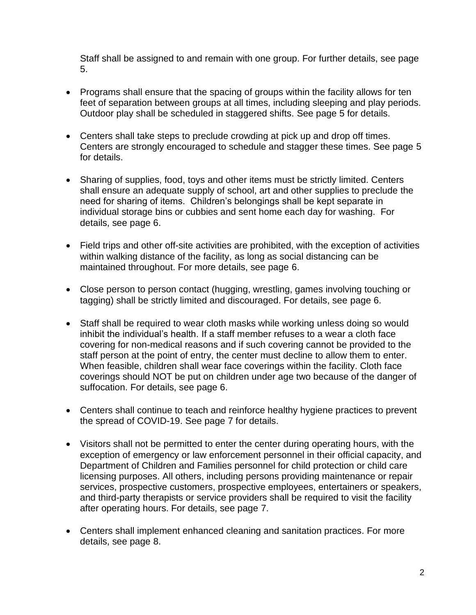Staff shall be assigned to and remain with one group. For further details, see page 5.

- Programs shall ensure that the spacing of groups within the facility allows for ten feet of separation between groups at all times, including sleeping and play periods. Outdoor play shall be scheduled in staggered shifts. See page 5 for details.
- Centers shall take steps to preclude crowding at pick up and drop off times. Centers are strongly encouraged to schedule and stagger these times. See page 5 for details.
- Sharing of supplies, food, toys and other items must be strictly limited. Centers shall ensure an adequate supply of school, art and other supplies to preclude the need for sharing of items. Children's belongings shall be kept separate in individual storage bins or cubbies and sent home each day for washing. For details, see page 6.
- Field trips and other off-site activities are prohibited, with the exception of activities within walking distance of the facility, as long as social distancing can be maintained throughout. For more details, see page 6.
- Close person to person contact (hugging, wrestling, games involving touching or tagging) shall be strictly limited and discouraged. For details, see page 6.
- Staff shall be required to wear cloth masks while working unless doing so would inhibit the individual's health. If a staff member refuses to a wear a cloth face covering for non-medical reasons and if such covering cannot be provided to the staff person at the point of entry, the center must decline to allow them to enter. When feasible, children shall wear face coverings within the facility. Cloth face coverings should NOT be put on children under age two because of the danger of suffocation. For details, see page 6.
- Centers shall continue to teach and reinforce healthy hygiene practices to prevent the spread of COVID-19. See page 7 for details.
- Visitors shall not be permitted to enter the center during operating hours, with the exception of emergency or law enforcement personnel in their official capacity, and Department of Children and Families personnel for child protection or child care licensing purposes. All others, including persons providing maintenance or repair services, prospective customers, prospective employees, entertainers or speakers, and third-party therapists or service providers shall be required to visit the facility after operating hours. For details, see page 7.
- Centers shall implement enhanced cleaning and sanitation practices. For more details, see page 8.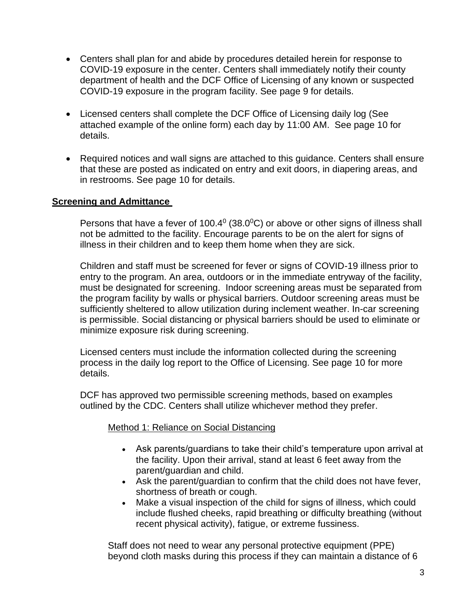- Centers shall plan for and abide by procedures detailed herein for response to COVID-19 exposure in the center. Centers shall immediately notify their county department of health and the DCF Office of Licensing of any known or suspected COVID-19 exposure in the program facility. See page 9 for details.
- Licensed centers shall complete the DCF Office of Licensing daily log (See attached example of the online form) each day by 11:00 AM. See page 10 for details.
- Required notices and wall signs are attached to this guidance. Centers shall ensure that these are posted as indicated on entry and exit doors, in diapering areas, and in restrooms. See page 10 for details.

# **Screening and Admittance**

Persons that have a fever of 100.4 $^{\circ}$  (38.0 $^{\circ}$ C) or above or other signs of illness shall not be admitted to the facility. Encourage parents to be on the alert for signs of illness in their children and to keep them home when they are sick.

Children and staff must be screened for fever or signs of COVID-19 illness prior to entry to the program. An area, outdoors or in the immediate entryway of the facility, must be designated for screening. Indoor screening areas must be separated from the program facility by walls or physical barriers. Outdoor screening areas must be sufficiently sheltered to allow utilization during inclement weather. In-car screening is permissible. Social distancing or physical barriers should be used to eliminate or minimize exposure risk during screening.

Licensed centers must include the information collected during the screening process in the daily log report to the Office of Licensing. See page 10 for more details.

DCF has approved two permissible screening methods, based on examples outlined by the CDC. Centers shall utilize whichever method they prefer.

## Method 1: Reliance on Social Distancing

- Ask parents/guardians to take their child's temperature upon arrival at the facility. Upon their arrival, stand at least 6 feet away from the parent/guardian and child.
- Ask the parent/guardian to confirm that the child does not have fever, shortness of breath or cough.
- Make a visual inspection of the child for signs of illness, which could include flushed cheeks, rapid breathing or difficulty breathing (without recent physical activity), fatigue, or extreme fussiness.

Staff does not need to wear any personal protective equipment (PPE) beyond cloth masks during this process if they can maintain a distance of 6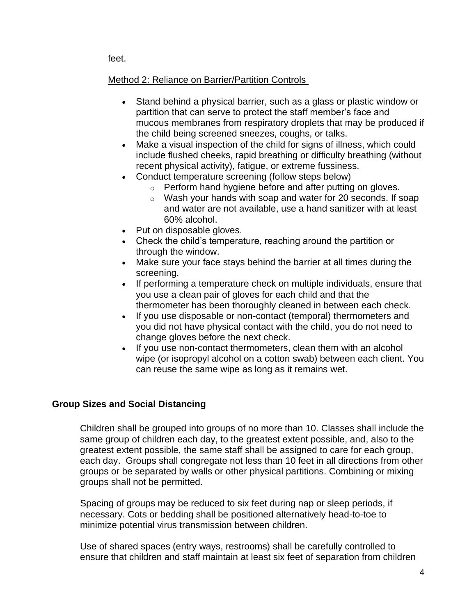feet.

# Method 2: Reliance on Barrier/Partition Controls

- Stand behind a physical barrier, such as a glass or plastic window or partition that can serve to protect the staff member's face and mucous membranes from respiratory droplets that may be produced if the child being screened sneezes, coughs, or talks.
- Make a visual inspection of the child for signs of illness, which could include flushed cheeks, rapid breathing or difficulty breathing (without recent physical activity), fatigue, or extreme fussiness.
- Conduct temperature screening (follow steps below)
	- o Perform hand hygiene before and after putting on gloves.
	- o Wash your hands with soap and water for 20 seconds. If soap and water are not available, use a hand sanitizer with at least 60% alcohol.
- Put on disposable gloves.
- Check the child's temperature, reaching around the partition or through the window.
- Make sure your face stays behind the barrier at all times during the screening.
- If performing a temperature check on multiple individuals, ensure that you use a clean pair of gloves for each child and that the thermometer has been thoroughly cleaned in between each check.
- If you use disposable or non-contact (temporal) thermometers and you did not have physical contact with the child, you do not need to change gloves before the next check.
- If you use non-contact thermometers, clean them with an alcohol wipe (or isopropyl alcohol on a cotton swab) between each client. You can reuse the same wipe as long as it remains wet.

## **Group Sizes and Social Distancing**

Children shall be grouped into groups of no more than 10. Classes shall include the same group of children each day, to the greatest extent possible, and, also to the greatest extent possible, the same staff shall be assigned to care for each group, each day. Groups shall congregate not less than 10 feet in all directions from other groups or be separated by walls or other physical partitions. Combining or mixing groups shall not be permitted.

Spacing of groups may be reduced to six feet during nap or sleep periods, if necessary. Cots or bedding shall be positioned alternatively head-to-toe to minimize potential virus transmission between children.

Use of shared spaces (entry ways, restrooms) shall be carefully controlled to ensure that children and staff maintain at least six feet of separation from children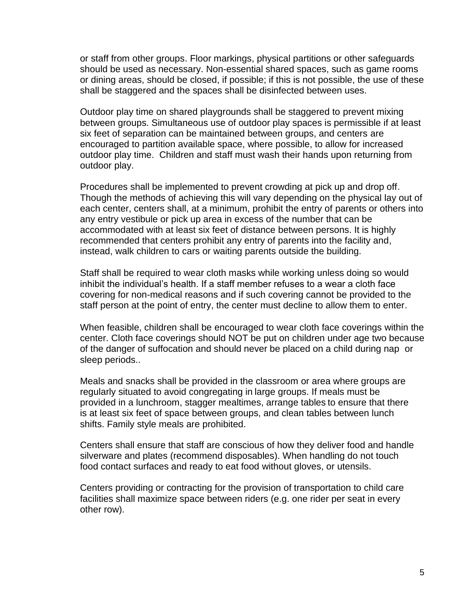or staff from other groups. Floor markings, physical partitions or other safeguards should be used as necessary. Non-essential shared spaces, such as game rooms or dining areas, should be closed, if possible; if this is not possible, the use of these shall be staggered and the spaces shall be disinfected between uses.

Outdoor play time on shared playgrounds shall be staggered to prevent mixing between groups. Simultaneous use of outdoor play spaces is permissible if at least six feet of separation can be maintained between groups, and centers are encouraged to partition available space, where possible, to allow for increased outdoor play time. Children and staff must wash their hands upon returning from outdoor play.

Procedures shall be implemented to prevent crowding at pick up and drop off. Though the methods of achieving this will vary depending on the physical lay out of each center, centers shall, at a minimum, prohibit the entry of parents or others into any entry vestibule or pick up area in excess of the number that can be accommodated with at least six feet of distance between persons. It is highly recommended that centers prohibit any entry of parents into the facility and, instead, walk children to cars or waiting parents outside the building.

Staff shall be required to wear cloth masks while working unless doing so would inhibit the individual's health. If a staff member refuses to a wear a cloth face covering for non-medical reasons and if such covering cannot be provided to the staff person at the point of entry, the center must decline to allow them to enter.

When feasible, children shall be encouraged to wear cloth face coverings within the center. Cloth face coverings should NOT be put on children under age two because of the danger of suffocation and should never be placed on a child during nap or sleep periods..

Meals and snacks shall be provided in the classroom or area where groups are regularly situated to avoid congregating in large groups. If meals must be provided in a lunchroom, stagger mealtimes, arrange tables to ensure that there is at least six feet of space between groups, and clean tables between lunch shifts. Family style meals are prohibited.

Centers shall ensure that staff are conscious of how they deliver food and handle silverware and plates (recommend disposables). When handling do not touch food contact surfaces and ready to eat food without gloves, or utensils.

Centers providing or contracting for the provision of transportation to child care facilities shall maximize space between riders (e.g. one rider per seat in every other row).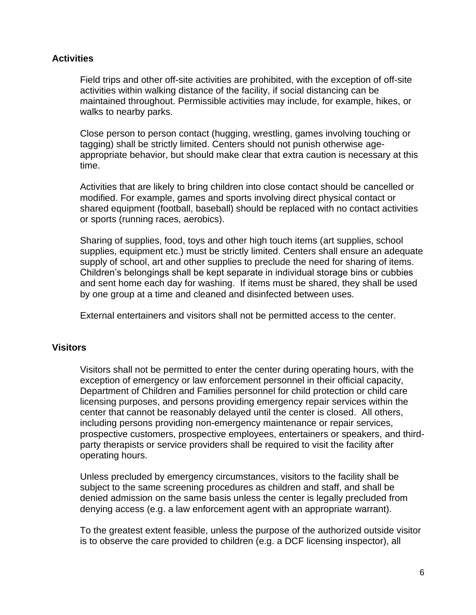## **Activities**

Field trips and other off-site activities are prohibited, with the exception of off-site activities within walking distance of the facility, if social distancing can be maintained throughout. Permissible activities may include, for example, hikes, or walks to nearby parks.

Close person to person contact (hugging, wrestling, games involving touching or tagging) shall be strictly limited. Centers should not punish otherwise ageappropriate behavior, but should make clear that extra caution is necessary at this time.

Activities that are likely to bring children into close contact should be cancelled or modified. For example, games and sports involving direct physical contact or shared equipment (football, baseball) should be replaced with no contact activities or sports (running races, aerobics).

Sharing of supplies, food, toys and other high touch items (art supplies, school supplies, equipment etc.) must be strictly limited. Centers shall ensure an adequate supply of school, art and other supplies to preclude the need for sharing of items. Children's belongings shall be kept separate in individual storage bins or cubbies and sent home each day for washing. If items must be shared, they shall be used by one group at a time and cleaned and disinfected between uses.

External entertainers and visitors shall not be permitted access to the center.

#### **Visitors**

Visitors shall not be permitted to enter the center during operating hours, with the exception of emergency or law enforcement personnel in their official capacity, Department of Children and Families personnel for child protection or child care licensing purposes, and persons providing emergency repair services within the center that cannot be reasonably delayed until the center is closed. All others, including persons providing non-emergency maintenance or repair services, prospective customers, prospective employees, entertainers or speakers, and thirdparty therapists or service providers shall be required to visit the facility after operating hours.

Unless precluded by emergency circumstances, visitors to the facility shall be subject to the same screening procedures as children and staff, and shall be denied admission on the same basis unless the center is legally precluded from denying access (e.g. a law enforcement agent with an appropriate warrant).

To the greatest extent feasible, unless the purpose of the authorized outside visitor is to observe the care provided to children (e.g. a DCF licensing inspector), all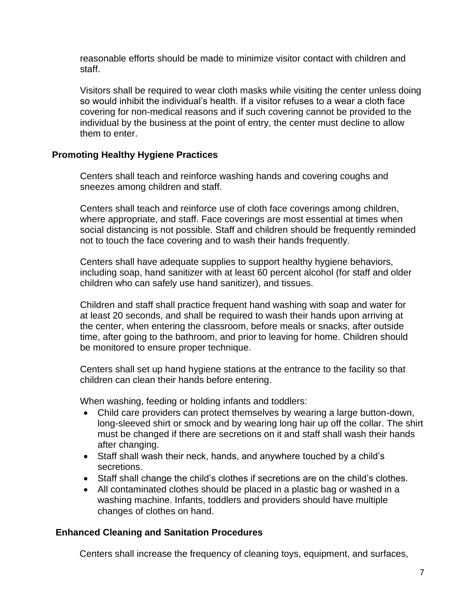reasonable efforts should be made to minimize visitor contact with children and staff.

Visitors shall be required to wear cloth masks while visiting the center unless doing so would inhibit the individual's health. If a visitor refuses to a wear a cloth face covering for non-medical reasons and if such covering cannot be provided to the individual by the business at the point of entry, the center must decline to allow them to enter.

### **Promoting Healthy Hygiene Practices**

Centers shall teach and reinforce washing hands and covering coughs and sneezes among children and staff.

Centers shall teach and reinforce use of cloth face coverings among children, where appropriate, and staff. Face coverings are most essential at times when social distancing is not possible. Staff and children should be frequently reminded not to touch the face covering and to wash their hands frequently.

Centers shall have adequate supplies to support healthy hygiene behaviors, including soap, hand sanitizer with at least 60 percent alcohol (for staff and older children who can safely use hand sanitizer), and tissues.

Children and staff shall practice frequent hand washing with soap and water for at least 20 seconds, and shall be required to wash their hands upon arriving at the center, when entering the classroom, before meals or snacks, after outside time, after going to the bathroom, and prior to leaving for home. Children should be monitored to ensure proper technique.

Centers shall set up hand hygiene stations at the entrance to the facility so that children can clean their hands before entering.

When washing, feeding or holding infants and toddlers:

- Child care providers can protect themselves by wearing a large button-down, long-sleeved shirt or smock and by wearing long hair up off the collar. The shirt must be changed if there are secretions on it and staff shall wash their hands after changing.
- Staff shall wash their neck, hands, and anywhere touched by a child's secretions.
- Staff shall change the child's clothes if secretions are on the child's clothes.
- All contaminated clothes should be placed in a plastic bag or washed in a washing machine. Infants, toddlers and providers should have multiple changes of clothes on hand.

#### **Enhanced Cleaning and Sanitation Procedures**

Centers shall increase the frequency of cleaning toys, equipment, and surfaces,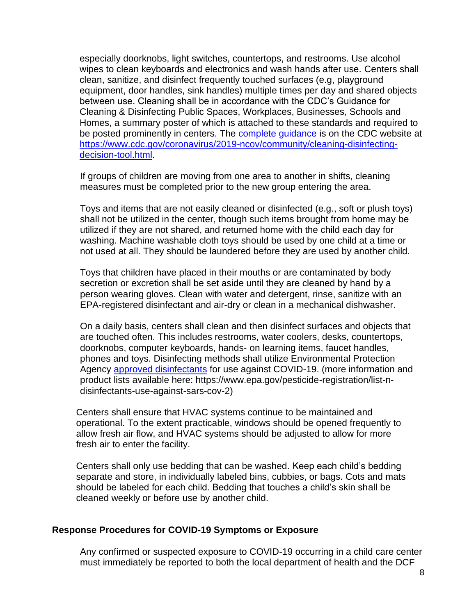especially doorknobs, light switches, countertops, and restrooms. Use alcohol wipes to clean keyboards and electronics and wash hands after use. Centers shall clean, sanitize, and disinfect frequently touched surfaces (e.g, playground equipment, door handles, sink handles) multiple times per day and shared objects between use. Cleaning shall be in accordance with the CDC's Guidance for Cleaning & Disinfecting Public Spaces, Workplaces, Businesses, Schools and Homes, a summary poster of which is attached to these standards and required to be posted prominently in centers. The [complete guidance](https://www.cdc.gov/coronavirus/2019-ncov/community/cleaning-disinfecting-decision-tool.html) is on the CDC website at [https://www.cdc.gov/coronavirus/2019-ncov/community/cleaning-disinfecting](https://www.cdc.gov/coronavirus/2019-ncov/community/cleaning-disinfecting-decision-tool.html)[decision-tool.html.](https://www.cdc.gov/coronavirus/2019-ncov/community/cleaning-disinfecting-decision-tool.html)

If groups of children are moving from one area to another in shifts, cleaning measures must be completed prior to the new group entering the area.

Toys and items that are not easily cleaned or disinfected (e.g., soft or plush toys) shall not be utilized in the center, though such items brought from home may be utilized if they are not shared, and returned home with the child each day for washing. Machine washable cloth toys should be used by one child at a time or not used at all. They should be laundered before they are used by another child.

Toys that children have placed in their mouths or are contaminated by body secretion or excretion shall be set aside until they are cleaned by hand by a person wearing gloves. Clean with water and detergent, rinse, sanitize with an EPA-registered disinfectant and air-dry or clean in a mechanical dishwasher.

On a daily basis, centers shall clean and then disinfect surfaces and objects that are touched often. This includes restrooms, water coolers, desks, countertops, doorknobs, computer keyboards, hands‐ on learning items, faucet handles, phones and toys. Disinfecting methods shall utilize Environmental Protection Agency [approved disinfectants](https://www.epa.gov/pesticide-registration/list-n-disinfectants-use-against-sars-cov-2) for use against COVID-19. (more information and product lists available here: https://www.epa.gov/pesticide-registration/list-ndisinfectants-use-against-sars-cov-2)

Centers shall ensure that HVAC systems continue to be maintained and operational. To the extent practicable, windows should be opened frequently to allow fresh air flow, and HVAC systems should be adjusted to allow for more fresh air to enter the facility.

Centers shall only use bedding that can be washed. Keep each child's bedding separate and store, in individually labeled bins, cubbies, or bags. Cots and mats should be labeled for each child. Bedding that touches a child's skin shall be cleaned weekly or before use by another child.

#### **Response Procedures for COVID-19 Symptoms or Exposure**

Any confirmed or suspected exposure to COVID-19 occurring in a child care center must immediately be reported to both the local department of health and the DCF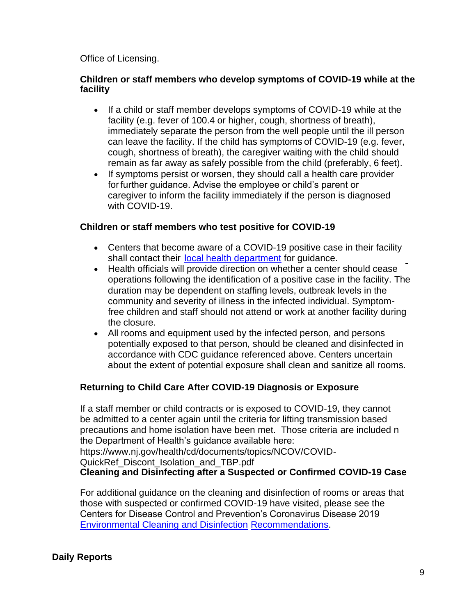### Office of Licensing.

### **Children or staff members who develop symptoms of COVID-19 while at the facility**

- If a child or staff member develops symptoms of COVID-19 while at the facility (e.g. fever of 100.4 or higher, cough, shortness of breath), immediately separate the person from the well people until the ill person can leave the facility. If the child has symptoms of COVID-19 (e.g. fever, cough, shortness of breath), the caregiver waiting with the child should remain as far away as safely possible from the child (preferably, 6 feet).
- If symptoms persist or worsen, they should call a health care provider for further guidance. Advise the employee or child's parent or caregiver to inform the facility immediately if the person is diagnosed with COVID-19.

### **Children or staff members who test positive for COVID-19**

- Centers that become aware of a COVID-19 positive case in their facility shall contact their [local health department](http://www.localhealth.nj.gov/) for quidance.
- Health officials will provide direction on whether a center should cease operations following the identification of a positive case in the facility. The duration may be dependent on staffing levels, outbreak levels in the community and severity of illness in the infected individual. Symptomfree children and staff should not attend or work at another facility during the closure.
- All rooms and equipment used by the infected person, and persons potentially exposed to that person, should be cleaned and disinfected in accordance with CDC guidance referenced above. Centers uncertain about the extent of potential exposure shall clean and sanitize all rooms.

## **Returning to Child Care After COVID-19 Diagnosis or Exposure**

If a staff member or child contracts or is exposed to COVID-19, they cannot be admitted to a center again until the criteria for lifting transmission based precautions and home isolation have been met. Those criteria are included n the Department of Health's guidance available here:

https://www.nj.gov/health/cd/documents/topics/NCOV/COVID-

QuickRef\_Discont\_Isolation\_and\_TBP.pdf

**Cleaning and Disinfecting after a Suspected or Confirmed COVID-19 Case**

For additional guidance on the cleaning and disinfection of rooms or areas that those with suspected or confirmed COVID-19 have visited, please see the Centers for Disease Control and Prevention's Coronavirus Disease 2019 [Environmental Cleaning and Disinfection](https://www.cdc.gov/coronavirus/2019-ncov/community/organizations/cleaning-disinfection.html) [Recommendations.](https://www.cdc.gov/coronavirus/2019-ncov/community/organizations/cleaning-disinfection.html)